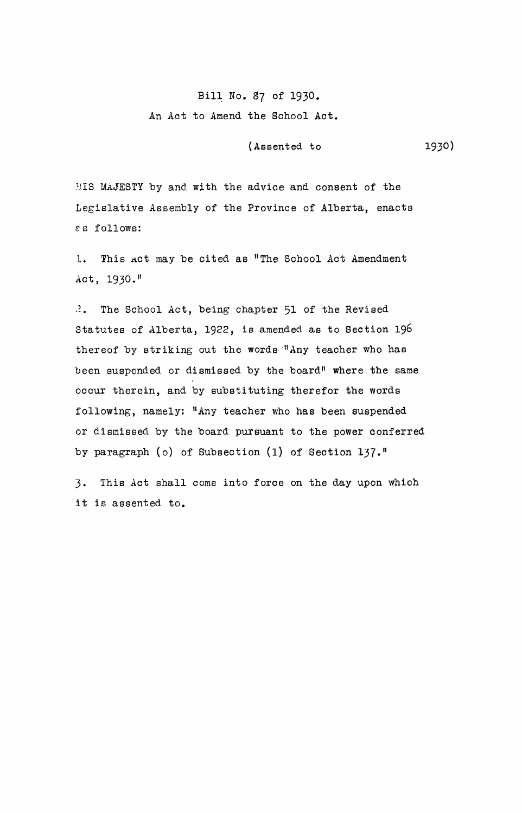## Bill No. 87 of 1930. An Act to Amend the School Act.

(Assented to

1930)

HIS MAJESTY by and with the advice and consent of the Legislative Assembly of the Province of Alberta, enacts 8 s follows:

1. This *A*ct may be cited as "The School Act Amendment Act, 1930."

 $\mathbb{R}$ . The School Act, being chapter 51 of the Revised Statutes of Alberta, 1922, is amended as to Section 196 thereof by striking out the words "Any teacher who has been suspended or dismissed by the board" where. the same occur therein, and by substituting therefor the words following, namely: "Any teacher who has been suspended or dismissed by the board pursuant to the power conferred by paragraph (0) of Subsection (1) of Section 137."

3. This Act shall come into force on the day upon which it is assented to.